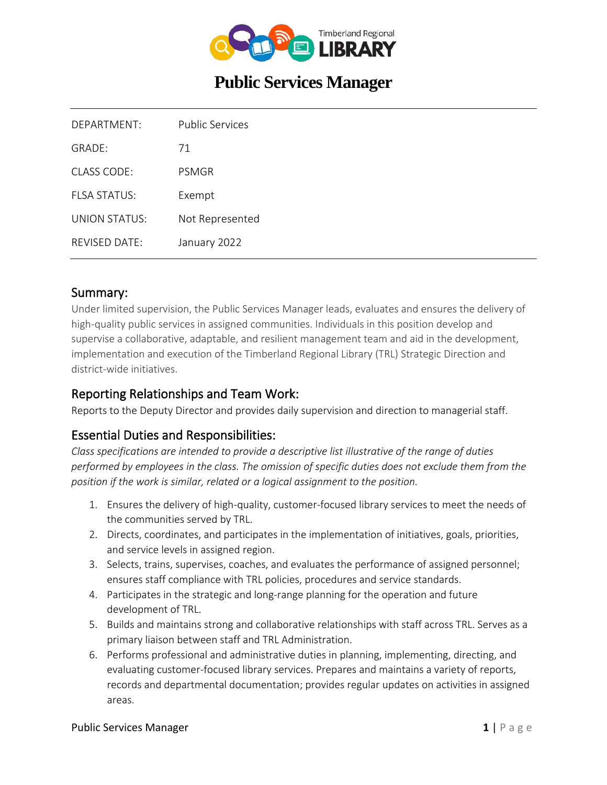

# **Public Services Manager**

| DEPARTMENT:             | Public Services |
|-------------------------|-----------------|
| $GRADF+$                | 71              |
| $CIASS$ $CODF$          | PSMGR           |
| FI SA STATUS            | Exempt          |
| UNION STATUS:           | Not Represented |
| $RFV$ ISED DATE $\cdot$ | January 2022    |

### Summary:

Under limited supervision, the Public Services Manager leads, evaluates and ensures the delivery of high-quality public services in assigned communities. Individuals in this position develop and supervise a collaborative, adaptable, and resilient management team and aid in the development, implementation and execution of the Timberland Regional Library (TRL) Strategic Direction and district-wide initiatives.

### Reporting Relationships and Team Work:

Reports to the Deputy Director and provides daily supervision and direction to managerial staff.

### Essential Duties and Responsibilities:

*Class specifications are intended to provide a descriptive list illustrative of the range of duties performed by employees in the class. The omission of specific duties does not exclude them from the position if the work is similar, related or a logical assignment to the position.*

- 1. Ensures the delivery of high-quality, customer-focused library services to meet the needs of the communities served by TRL.
- 2. Directs, coordinates, and participates in the implementation of initiatives, goals, priorities, and service levels in assigned region.
- 3. Selects, trains, supervises, coaches, and evaluates the performance of assigned personnel; ensures staff compliance with TRL policies, procedures and service standards.
- 4. Participates in the strategic and long-range planning for the operation and future development of TRL.
- 5. Builds and maintains strong and collaborative relationships with staff across TRL. Serves as a primary liaison between staff and TRL Administration.
- 6. Performs professional and administrative duties in planning, implementing, directing, and evaluating customer-focused library services. Prepares and maintains a variety of reports, records and departmental documentation; provides regular updates on activities in assigned areas.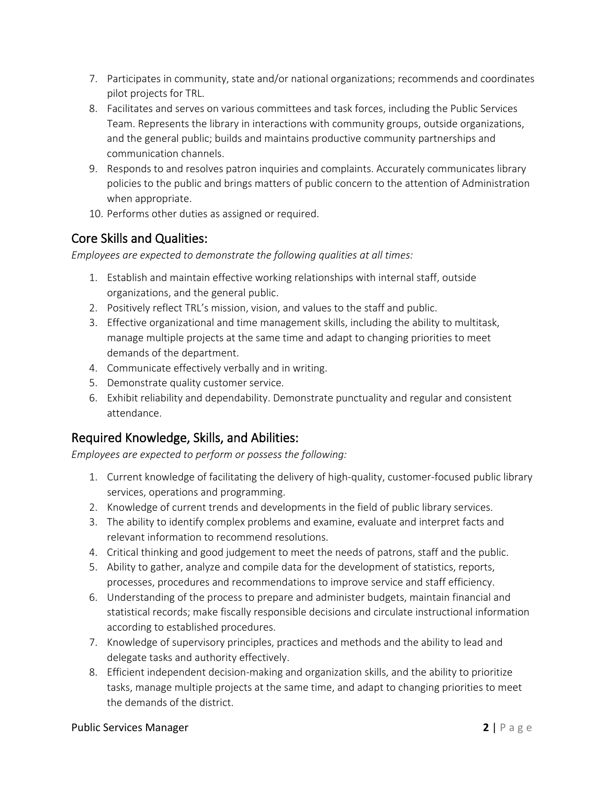- 7. Participates in community, state and/or national organizations; recommends and coordinates pilot projects for TRL.
- 8. Facilitates and serves on various committees and task forces, including the Public Services Team. Represents the library in interactions with community groups, outside organizations, and the general public; builds and maintains productive community partnerships and communication channels.
- 9. Responds to and resolves patron inquiries and complaints. Accurately communicates library policies to the public and brings matters of public concern to the attention of Administration when appropriate.
- 10. Performs other duties as assigned or required.

# Core Skills and Qualities:

*Employees are expected to demonstrate the following qualities at all times:*

- 1. Establish and maintain effective working relationships with internal staff, outside organizations, and the general public.
- 2. Positively reflect TRL's mission, vision, and values to the staff and public.
- 3. Effective organizational and time management skills, including the ability to multitask, manage multiple projects at the same time and adapt to changing priorities to meet demands of the department.
- 4. Communicate effectively verbally and in writing.
- 5. Demonstrate quality customer service.
- 6. Exhibit reliability and dependability. Demonstrate punctuality and regular and consistent attendance.

# Required Knowledge, Skills, and Abilities:

*Employees are expected to perform or possess the following:*

- 1. Current knowledge of facilitating the delivery of high-quality, customer-focused public library services, operations and programming.
- 2. Knowledge of current trends and developments in the field of public library services.
- 3. The ability to identify complex problems and examine, evaluate and interpret facts and relevant information to recommend resolutions.
- 4. Critical thinking and good judgement to meet the needs of patrons, staff and the public.
- 5. Ability to gather, analyze and compile data for the development of statistics, reports, processes, procedures and recommendations to improve service and staff efficiency.
- 6. Understanding of the process to prepare and administer budgets, maintain financial and statistical records; make fiscally responsible decisions and circulate instructional information according to established procedures.
- 7. Knowledge of supervisory principles, practices and methods and the ability to lead and delegate tasks and authority effectively.
- 8. Efficient independent decision-making and organization skills, and the ability to prioritize tasks, manage multiple projects at the same time, and adapt to changing priorities to meet the demands of the district.